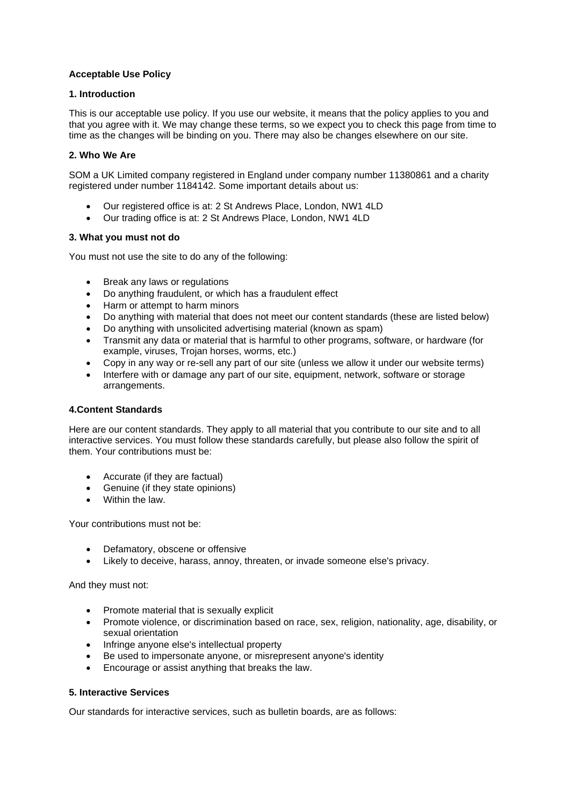# **Acceptable Use Policy**

### **1. Introduction**

This is our acceptable use policy. If you use our website, it means that the policy applies to you and that you agree with it. We may change these terms, so we expect you to check this page from time to time as the changes will be binding on you. There may also be changes elsewhere on our site.

### **2. Who We Are**

SOM a UK Limited company registered in England under company number 11380861 and a charity registered under number 1184142. Some important details about us:

- Our registered office is at: 2 St Andrews Place, London, NW1 4LD
- Our trading office is at: 2 St Andrews Place, London, NW1 4LD

### **3. What you must not do**

You must not use the site to do any of the following:

- Break any laws or regulations
- Do anything fraudulent, or which has a fraudulent effect
- Harm or attempt to harm minors
- Do anything with material that does not meet our content standards (these are listed below)
- Do anything with unsolicited advertising material (known as spam)
- Transmit any data or material that is harmful to other programs, software, or hardware (for example, viruses, Trojan horses, worms, etc.)
- Copy in any way or re-sell any part of our site (unless we allow it under our website terms)
- Interfere with or damage any part of our site, equipment, network, software or storage arrangements.

# **4.Content Standards**

Here are our content standards. They apply to all material that you contribute to our site and to all interactive services. You must follow these standards carefully, but please also follow the spirit of them. Your contributions must be:

- Accurate (if they are factual)
- Genuine (if they state opinions)
- Within the law.

Your contributions must not be:

- Defamatory, obscene or offensive
- Likely to deceive, harass, annoy, threaten, or invade someone else's privacy.

And they must not:

- Promote material that is sexually explicit
- Promote violence, or discrimination based on race, sex, religion, nationality, age, disability, or sexual orientation
- Infringe anyone else's intellectual property
- Be used to impersonate anyone, or misrepresent anyone's identity
- Encourage or assist anything that breaks the law.

# **5. Interactive Services**

Our standards for interactive services, such as bulletin boards, are as follows: